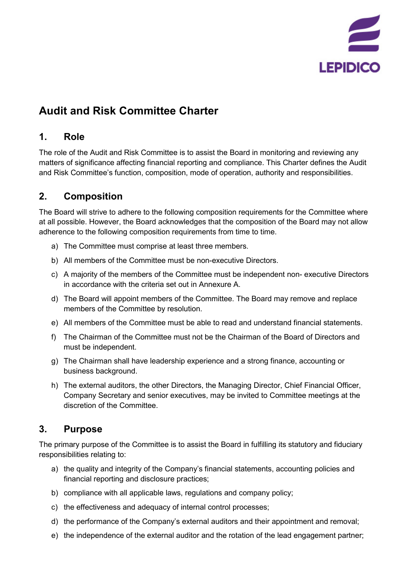

# **Audit and Risk Committee Charter**

# **1. Role**

The role of the Audit and Risk Committee is to assist the Board in monitoring and reviewing any matters of significance affecting financial reporting and compliance. This Charter defines the Audit and Risk Committee's function, composition, mode of operation, authority and responsibilities.

# **2. Composition**

The Board will strive to adhere to the following composition requirements for the Committee where at all possible. However, the Board acknowledges that the composition of the Board may not allow adherence to the following composition requirements from time to time.

- a) The Committee must comprise at least three members.
- b) All members of the Committee must be non-executive Directors.
- c) A majority of the members of the Committee must be independent non- executive Directors in accordance with the criteria set out in Annexure A.
- d) The Board will appoint members of the Committee. The Board may remove and replace members of the Committee by resolution.
- e) All members of the Committee must be able to read and understand financial statements.
- f) The Chairman of the Committee must not be the Chairman of the Board of Directors and must be independent.
- g) The Chairman shall have leadership experience and a strong finance, accounting or business background.
- h) The external auditors, the other Directors, the Managing Director, Chief Financial Officer, Company Secretary and senior executives, may be invited to Committee meetings at the discretion of the Committee.

# **3. Purpose**

The primary purpose of the Committee is to assist the Board in fulfilling its statutory and fiduciary responsibilities relating to:

- a) the quality and integrity of the Company's financial statements, accounting policies and financial reporting and disclosure practices;
- b) compliance with all applicable laws, regulations and company policy;
- c) the effectiveness and adequacy of internal control processes;
- d) the performance of the Company's external auditors and their appointment and removal;
- e) the independence of the external auditor and the rotation of the lead engagement partner;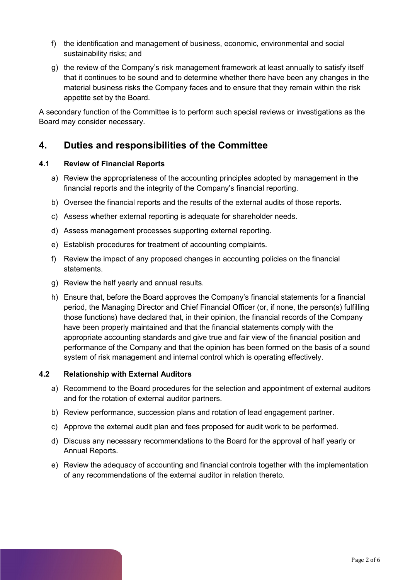- f) the identification and management of business, economic, environmental and social sustainability risks; and
- g) the review of the Company's risk management framework at least annually to satisfy itself that it continues to be sound and to determine whether there have been any changes in the material business risks the Company faces and to ensure that they remain within the risk appetite set by the Board.

A secondary function of the Committee is to perform such special reviews or investigations as the Board may consider necessary.

## **4. Duties and responsibilities of the Committee**

#### **4.1 Review of Financial Reports**

- a) Review the appropriateness of the accounting principles adopted by management in the financial reports and the integrity of the Company's financial reporting.
- b) Oversee the financial reports and the results of the external audits of those reports.
- c) Assess whether external reporting is adequate for shareholder needs.
- d) Assess management processes supporting external reporting.
- e) Establish procedures for treatment of accounting complaints.
- f) Review the impact of any proposed changes in accounting policies on the financial statements.
- g) Review the half yearly and annual results.
- h) Ensure that, before the Board approves the Company's financial statements for a financial period, the Managing Director and Chief Financial Officer (or, if none, the person(s) fulfilling those functions) have declared that, in their opinion, the financial records of the Company have been properly maintained and that the financial statements comply with the appropriate accounting standards and give true and fair view of the financial position and performance of the Company and that the opinion has been formed on the basis of a sound system of risk management and internal control which is operating effectively.

#### **4.2 Relationship with External Auditors**

- a) Recommend to the Board procedures for the selection and appointment of external auditors and for the rotation of external auditor partners.
- b) Review performance, succession plans and rotation of lead engagement partner.
- c) Approve the external audit plan and fees proposed for audit work to be performed.
- d) Discuss any necessary recommendations to the Board for the approval of half yearly or Annual Reports.
- e) Review the adequacy of accounting and financial controls together with the implementation of any recommendations of the external auditor in relation thereto.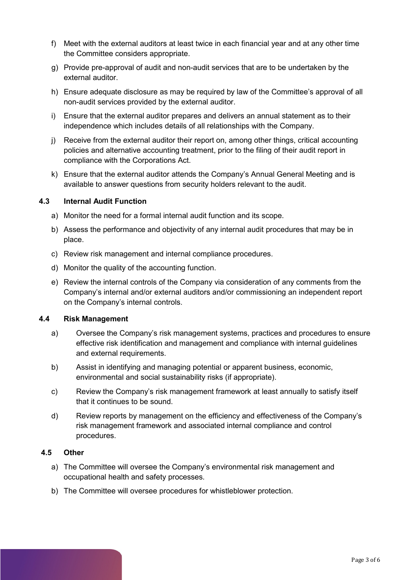- f) Meet with the external auditors at least twice in each financial year and at any other time the Committee considers appropriate.
- g) Provide pre-approval of audit and non-audit services that are to be undertaken by the external auditor.
- h) Ensure adequate disclosure as may be required by law of the Committee's approval of all non-audit services provided by the external auditor.
- i) Ensure that the external auditor prepares and delivers an annual statement as to their independence which includes details of all relationships with the Company.
- j) Receive from the external auditor their report on, among other things, critical accounting policies and alternative accounting treatment, prior to the filing of their audit report in compliance with the Corporations Act.
- k) Ensure that the external auditor attends the Company's Annual General Meeting and is available to answer questions from security holders relevant to the audit.

#### **4.3 Internal Audit Function**

- a) Monitor the need for a formal internal audit function and its scope.
- b) Assess the performance and objectivity of any internal audit procedures that may be in place.
- c) Review risk management and internal compliance procedures.
- d) Monitor the quality of the accounting function.
- e) Review the internal controls of the Company via consideration of any comments from the Company's internal and/or external auditors and/or commissioning an independent report on the Company's internal controls.

#### **4.4 Risk Management**

- a) Oversee the Company's risk management systems, practices and procedures to ensure effective risk identification and management and compliance with internal guidelines and external requirements.
- b) Assist in identifying and managing potential or apparent business, economic, environmental and social sustainability risks (if appropriate).
- c) Review the Company's risk management framework at least annually to satisfy itself that it continues to be sound.
- d) Review reports by management on the efficiency and effectiveness of the Company's risk management framework and associated internal compliance and control procedures.

#### **4.5 Other**

- a) The Committee will oversee the Company's environmental risk management and occupational health and safety processes.
- b) The Committee will oversee procedures for whistleblower protection.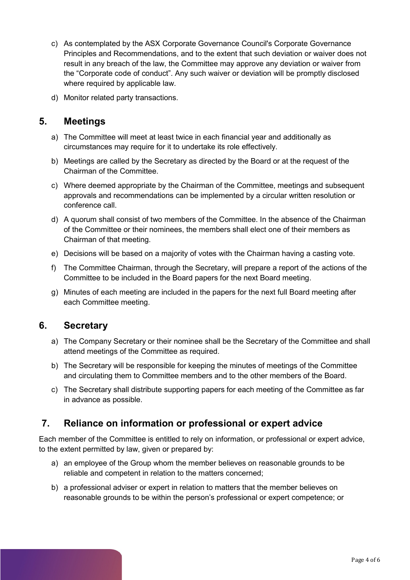- c) As contemplated by the ASX Corporate Governance Council's Corporate Governance Principles and Recommendations, and to the extent that such deviation or waiver does not result in any breach of the law, the Committee may approve any deviation or waiver from the "Corporate code of conduct". Any such waiver or deviation will be promptly disclosed where required by applicable law.
- d) Monitor related party transactions.

## **5. Meetings**

- a) The Committee will meet at least twice in each financial year and additionally as circumstances may require for it to undertake its role effectively.
- b) Meetings are called by the Secretary as directed by the Board or at the request of the Chairman of the Committee.
- c) Where deemed appropriate by the Chairman of the Committee, meetings and subsequent approvals and recommendations can be implemented by a circular written resolution or conference call.
- d) A quorum shall consist of two members of the Committee. In the absence of the Chairman of the Committee or their nominees, the members shall elect one of their members as Chairman of that meeting.
- e) Decisions will be based on a majority of votes with the Chairman having a casting vote.
- f) The Committee Chairman, through the Secretary, will prepare a report of the actions of the Committee to be included in the Board papers for the next Board meeting.
- g) Minutes of each meeting are included in the papers for the next full Board meeting after each Committee meeting.

## **6. Secretary**

- a) The Company Secretary or their nominee shall be the Secretary of the Committee and shall attend meetings of the Committee as required.
- b) The Secretary will be responsible for keeping the minutes of meetings of the Committee and circulating them to Committee members and to the other members of the Board.
- c) The Secretary shall distribute supporting papers for each meeting of the Committee as far in advance as possible.

# **7. Reliance on information or professional or expert advice**

Each member of the Committee is entitled to rely on information, or professional or expert advice, to the extent permitted by law, given or prepared by:

- a) an employee of the Group whom the member believes on reasonable grounds to be reliable and competent in relation to the matters concerned;
- b) a professional adviser or expert in relation to matters that the member believes on reasonable grounds to be within the person's professional or expert competence; or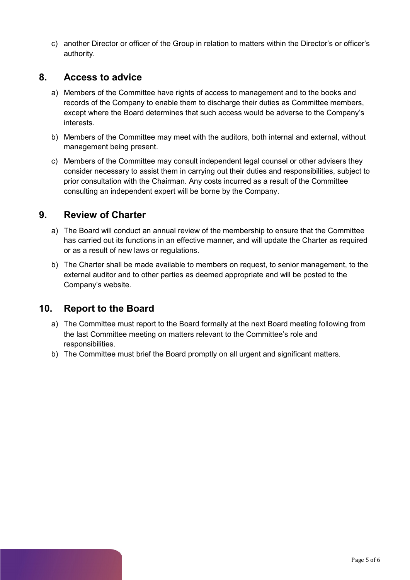c) another Director or officer of the Group in relation to matters within the Director's or officer's authority.

### **8. Access to advice**

- a) Members of the Committee have rights of access to management and to the books and records of the Company to enable them to discharge their duties as Committee members, except where the Board determines that such access would be adverse to the Company's interests.
- b) Members of the Committee may meet with the auditors, both internal and external, without management being present.
- c) Members of the Committee may consult independent legal counsel or other advisers they consider necessary to assist them in carrying out their duties and responsibilities, subject to prior consultation with the Chairman. Any costs incurred as a result of the Committee consulting an independent expert will be borne by the Company.

## **9. Review of Charter**

- a) The Board will conduct an annual review of the membership to ensure that the Committee has carried out its functions in an effective manner, and will update the Charter as required or as a result of new laws or regulations.
- b) The Charter shall be made available to members on request, to senior management, to the external auditor and to other parties as deemed appropriate and will be posted to the Company's website.

## **10. Report to the Board**

- a) The Committee must report to the Board formally at the next Board meeting following from the last Committee meeting on matters relevant to the Committee's role and responsibilities.
- b) The Committee must brief the Board promptly on all urgent and significant matters.